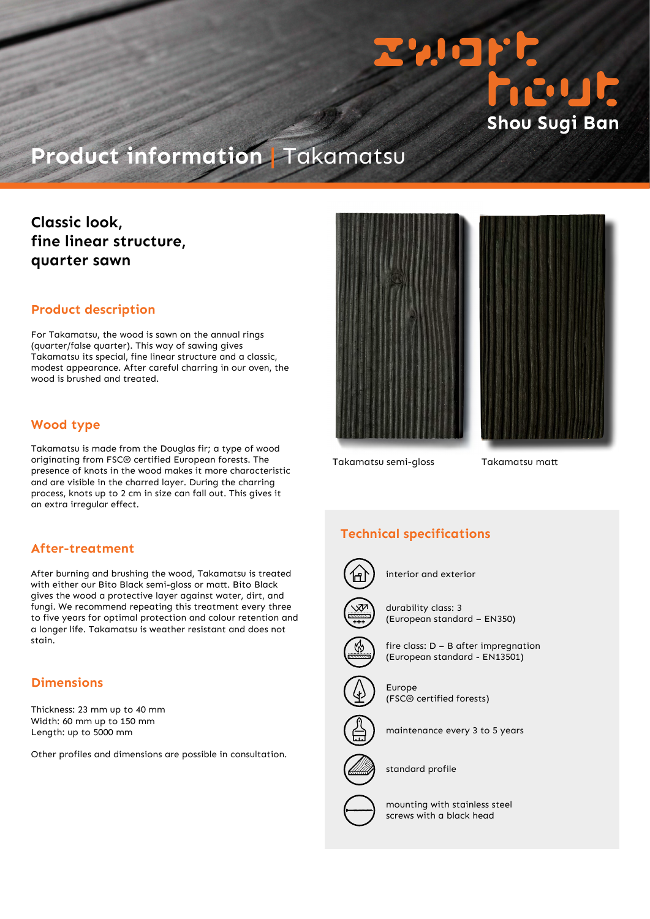

# **Product information |** Takamatsu

# **Classic look, fine linear structure, quarter sawn**

#### **Product description**

For Takamatsu, the wood is sawn on the annual rings (quarter/false quarter). This way of sawing gives Takamatsu its special, fine linear structure and a classic, modest appearance. After careful charring in our oven, the wood is brushed and treated.

## **Wood type**

Takamatsu is made from the Douglas fir; a type of wood originating from FSC® certified European forests. The presence of knots in the wood makes it more characteristic and are visible in the charred layer. During the charring process, knots up to 2 cm in size can fall out. This gives it an extra irregular effect.

#### **After-treatment**

After burning and brushing the wood, Takamatsu is treated with either our Bito Black semi-gloss or matt. Bito Black gives the wood a protective layer against water, dirt, and fungi. We recommend repeating this treatment every three to five years for optimal protection and colour retention and a longer life. Takamatsu is weather resistant and does not stain.

### **Dimensions**

Thickness: 23 mm up to 40 mm Width: 60 mm up to 150 mm Length: up to 5000 mm

Other profiles and dimensions are possible in consultation.



Takamatsu semi-gloss Takamatsu matt

# **Technical specifications**



interior and exterior



durability class: 3 (European standard – EN350)



fire class: D – B after impregnation (European standard - EN13501)



Europe (FSC® certified forests)



maintenance every 3 to 5 years



standard profile



mounting with stainless steel screws with a black head